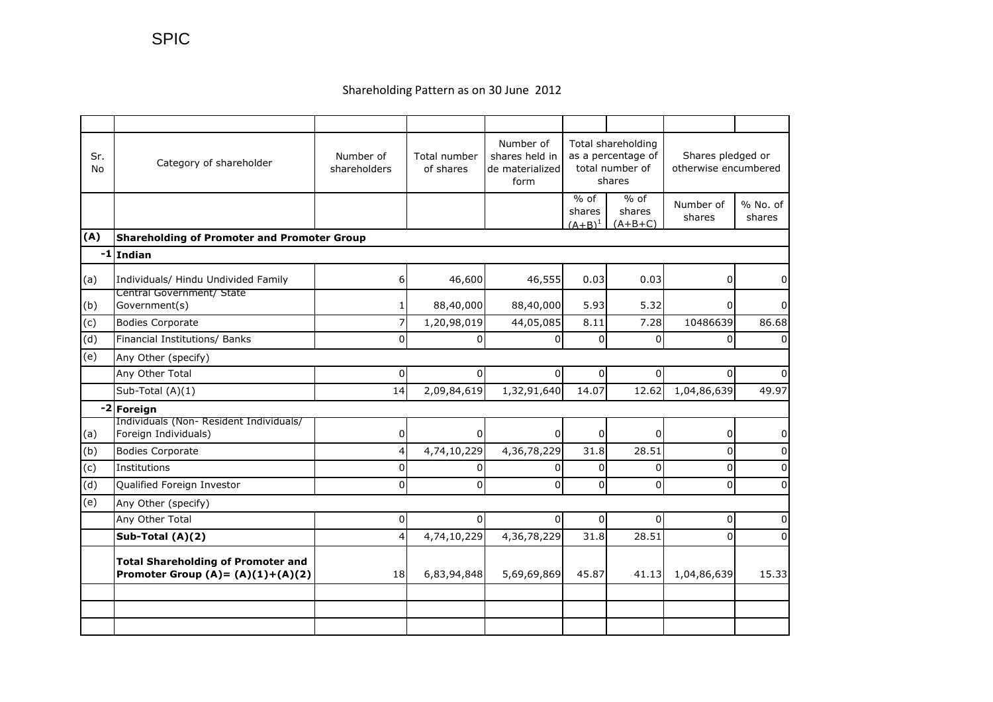## Shareholding Pattern as on 30 June 2012

| Sr.<br>No | Category of shareholder                                                           | Number of<br>shareholders | Total number<br>of shares | Number of<br>shares held in<br>de materialized<br>form | Total shareholding<br>as a percentage of<br>total number of<br>shares |                               | Shares pledged or<br>otherwise encumbered |                    |  |
|-----------|-----------------------------------------------------------------------------------|---------------------------|---------------------------|--------------------------------------------------------|-----------------------------------------------------------------------|-------------------------------|-------------------------------------------|--------------------|--|
|           |                                                                                   |                           |                           |                                                        | $%$ of<br>shares<br>$(A+B)^1$                                         | $%$ of<br>shares<br>$(A+B+C)$ | Number of<br>shares                       | % No. of<br>shares |  |
| (A)       | Shareholding of Promoter and Promoter Group                                       |                           |                           |                                                        |                                                                       |                               |                                           |                    |  |
|           | -1 Indian                                                                         |                           |                           |                                                        |                                                                       |                               |                                           |                    |  |
| (a)       | Individuals/ Hindu Undivided Family<br>Central Government/ State                  | 6                         | 46,600                    | 46,555                                                 | 0.03                                                                  | 0.03                          | 0                                         | 0                  |  |
| (b)       | Government(s)                                                                     |                           | 88,40,000                 | 88,40,000                                              | 5.93                                                                  | 5.32                          | <sup>0</sup>                              | $\overline{0}$     |  |
| (c)       | <b>Bodies Corporate</b>                                                           |                           | 1,20,98,019               | 44,05,085                                              | 8.11                                                                  | 7.28                          | 10486639                                  | 86.68              |  |
| (d)       | Financial Institutions/ Banks                                                     | $\Omega$                  | $\Omega$                  | $\Omega$                                               | $\overline{0}$                                                        | $\overline{0}$                | 0                                         | $\overline{0}$     |  |
| (e)       | Any Other (specify)                                                               |                           |                           |                                                        |                                                                       |                               |                                           |                    |  |
|           | Any Other Total                                                                   | 0                         | $\Omega$                  | 0                                                      | $\Omega$                                                              | $\Omega$                      | $\Omega$                                  | <sup>0</sup>       |  |
|           | Sub-Total (A)(1)                                                                  | 14                        | 2,09,84,619               | 1,32,91,640                                            | 14.07                                                                 | 12.62                         | 1,04,86,639                               | 49.97              |  |
|           | -2 Foreign                                                                        |                           |                           |                                                        |                                                                       |                               |                                           |                    |  |
| (a)       | Individuals (Non-Resident Individuals/<br>Foreign Individuals)                    | 0                         | 0                         | $\Omega$                                               | $\overline{0}$                                                        | $\overline{0}$                | 0                                         | 0                  |  |
| (b)       | <b>Bodies Corporate</b>                                                           | 4                         | 4,74,10,229               | 4,36,78,229                                            | 31.8                                                                  | 28.51                         | $\mathbf 0$                               | $\pmb{0}$          |  |
| (c)       | Institutions                                                                      | 0                         | 0                         | $\overline{0}$                                         | $\overline{0}$                                                        | $\overline{0}$                | 0                                         | 0                  |  |
| (d)       | Qualified Foreign Investor                                                        | $\Omega$                  | $\mathbf{0}$              | $\Omega$                                               | $\Omega$                                                              | $\Omega$                      | $\Omega$                                  | 0                  |  |
| (e)       | Any Other (specify)                                                               |                           |                           |                                                        |                                                                       |                               |                                           |                    |  |
|           | Any Other Total                                                                   | 0                         | 0                         | $\Omega$                                               | $\Omega$                                                              | $\Omega$                      | 0                                         | 0                  |  |
|           | Sub-Total (A)(2)                                                                  |                           | 4,74,10,229               | 4,36,78,229                                            | 31.8                                                                  | 28.51                         | $\Omega$                                  | $\Omega$           |  |
|           | <b>Total Shareholding of Promoter and</b><br>Promoter Group $(A) = (A)(1)+(A)(2)$ | 18                        | 6,83,94,848               | 5,69,69,869                                            | 45.87                                                                 | 41.13                         | 1,04,86,639                               | 15.33              |  |
|           |                                                                                   |                           |                           |                                                        |                                                                       |                               |                                           |                    |  |
|           |                                                                                   |                           |                           |                                                        |                                                                       |                               |                                           |                    |  |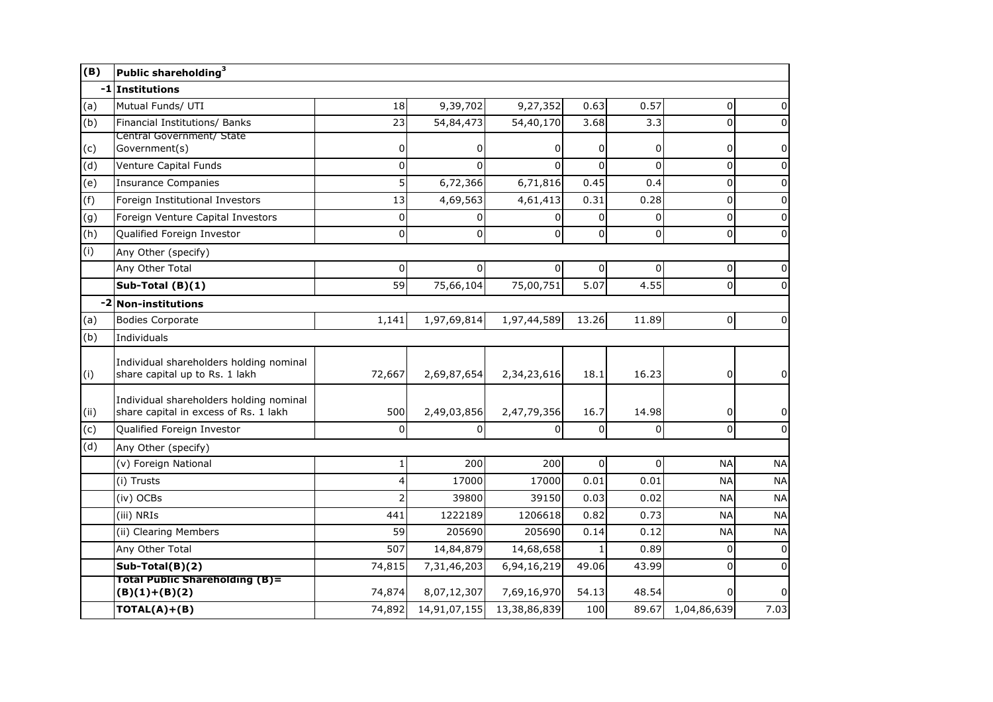| (B)  | Public shareholding <sup>3</sup>                                                 |             |              |                |          |          |             |                |  |
|------|----------------------------------------------------------------------------------|-------------|--------------|----------------|----------|----------|-------------|----------------|--|
|      | -1 Institutions                                                                  |             |              |                |          |          |             |                |  |
| (a)  | Mutual Funds/ UTI                                                                | 18          | 9,39,702     | 9,27,352       | 0.63     | 0.57     | 0           | 0              |  |
| (b)  | Financial Institutions/ Banks                                                    | 23          | 54,84,473    | 54,40,170      | 3.68     | 3.3      | 0           | 0              |  |
| (c)  | Central Government/ State<br>Government(s)                                       | 0           | 0            | 0              | 0        | 0        | 0           | 0              |  |
| (d)  | Venture Capital Funds                                                            | 0           | $\Omega$     | $\Omega$       | $\Omega$ | 0        | 0           | 0              |  |
| (e)  | <b>Insurance Companies</b>                                                       | 5           | 6,72,366     | 6,71,816       | 0.45     | 0.4      | 0           | 0              |  |
| (f)  | Foreign Institutional Investors                                                  | 13          | 4,69,563     | 4,61,413       | 0.31     | 0.28     | 0           | 0              |  |
| (g)  | Foreign Venture Capital Investors                                                | 0           | $\Omega$     | $\overline{0}$ | $\Omega$ | 0        | $\mathbf 0$ | 0              |  |
| (h)  | Qualified Foreign Investor                                                       | $\mathbf 0$ | $\mathbf 0$  | $\Omega$       | $\Omega$ | 0        | $\mathbf 0$ | $\mathbf 0$    |  |
| (i)  | Any Other (specify)                                                              |             |              |                |          |          |             |                |  |
|      | Any Other Total                                                                  | $\Omega$    | $\Omega$     | $\Omega$       | $\Omega$ | O        | 0           | 0              |  |
|      | Sub-Total (B)(1)                                                                 | 59          | 75,66,104    | 75,00,751      | 5.07     | 4.55     | $\pmb{0}$   | 0              |  |
|      | -2 Non-institutions                                                              |             |              |                |          |          |             |                |  |
| (a)  | <b>Bodies Corporate</b>                                                          | 1,141       | 1,97,69,814  | 1,97,44,589    | 13.26    | 11.89    | 0           | 0              |  |
| (b)  | Individuals                                                                      |             |              |                |          |          |             |                |  |
| (i)  | Individual shareholders holding nominal<br>share capital up to Rs. 1 lakh        | 72,667      | 2,69,87,654  | 2,34,23,616    | 18.1     | 16.23    | 0           | 0              |  |
| (ii) | Individual shareholders holding nominal<br>share capital in excess of Rs. 1 lakh | 500         | 2,49,03,856  | 2,47,79,356    | 16.7     | 14.98    | 0           | 0              |  |
| (c)  | Qualified Foreign Investor                                                       | $\Omega$    | $\Omega$     | $\Omega$       | $\Omega$ | 0        | $\Omega$    | $\mathbf 0$    |  |
| (d)  | Any Other (specify)                                                              |             |              |                |          |          |             |                |  |
|      | (v) Foreign National                                                             | 1           | 200          | 200            | $\Omega$ | $\Omega$ | <b>NA</b>   | <b>NA</b>      |  |
|      | (i) Trusts                                                                       | 4           | 17000        | 17000          | 0.01     | 0.01     | <b>NA</b>   | <b>NA</b>      |  |
|      | (iv) OCBs                                                                        | 2           | 39800        | 39150          | 0.03     | 0.02     | <b>NA</b>   | <b>NA</b>      |  |
|      | (iii) NRIs                                                                       | 441         | 1222189      | 1206618        | 0.82     | 0.73     | <b>NA</b>   | <b>NA</b>      |  |
|      | (ii) Clearing Members                                                            | 59          | 205690       | 205690         | 0.14     | 0.12     | <b>NA</b>   | <b>NA</b>      |  |
|      | Any Other Total                                                                  | 507         | 14,84,879    | 14,68,658      |          | 0.89     | 0           | $\pmb{0}$      |  |
|      | $Sub-Total(B)(2)$                                                                | 74,815      | 7,31,46,203  | 6,94,16,219    | 49.06    | 43.99    | $\Omega$    | $\mathbf 0$    |  |
|      | <b>Total Public Shareholding (B)=</b><br>$(B)(1)+(B)(2)$                         | 74,874      | 8,07,12,307  | 7,69,16,970    | 54.13    | 48.54    | 0           | $\overline{0}$ |  |
|      | $TOTAL(A)+(B)$                                                                   | 74,892      | 14,91,07,155 | 13,38,86,839   | 100      | 89.67    | 1,04,86,639 | 7.03           |  |